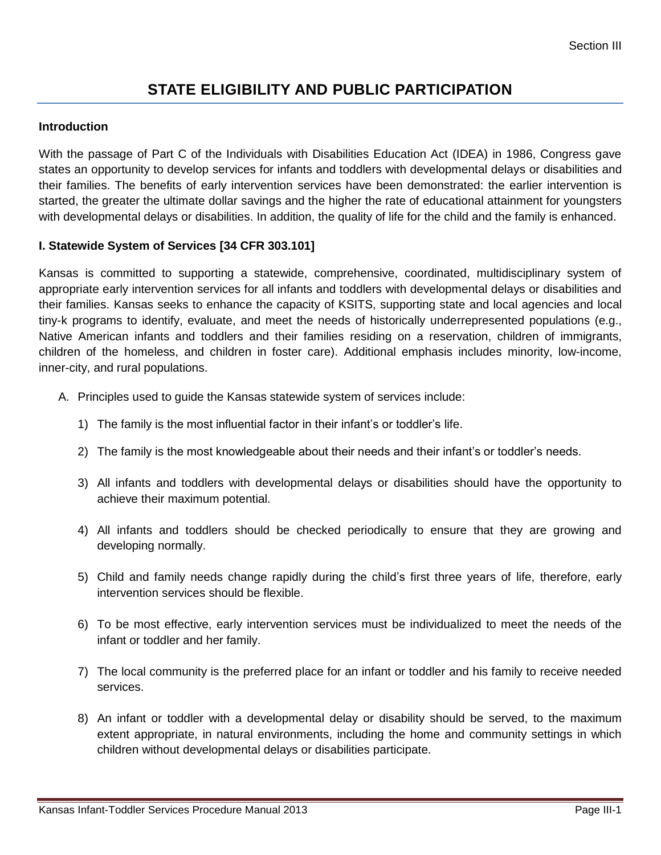# **STATE ELIGIBILITY AND PUBLIC PARTICIPATION**

#### **Introduction**

With the passage of Part C of the Individuals with Disabilities Education Act (IDEA) in 1986, Congress gave states an opportunity to develop services for infants and toddlers with developmental delays or disabilities and their families. The benefits of early intervention services have been demonstrated: the earlier intervention is started, the greater the ultimate dollar savings and the higher the rate of educational attainment for youngsters with developmental delays or disabilities. In addition, the quality of life for the child and the family is enhanced.

#### **I. Statewide System of Services [34 CFR 303.101]**

Kansas is committed to supporting a statewide, comprehensive, coordinated, multidisciplinary system of appropriate early intervention services for all infants and toddlers with developmental delays or disabilities and their families. Kansas seeks to enhance the capacity of KSITS, supporting state and local agencies and local tiny-k programs to identify, evaluate, and meet the needs of historically underrepresented populations (e.g., Native American infants and toddlers and their families residing on a reservation, children of immigrants, children of the homeless, and children in foster care). Additional emphasis includes minority, low-income, inner-city, and rural populations.

- A. Principles used to guide the Kansas statewide system of services include:
	- 1) The family is the most influential factor in their infant's or toddler's life.
	- 2) The family is the most knowledgeable about their needs and their infant's or toddler's needs.
	- 3) All infants and toddlers with developmental delays or disabilities should have the opportunity to achieve their maximum potential.
	- 4) All infants and toddlers should be checked periodically to ensure that they are growing and developing normally.
	- 5) Child and family needs change rapidly during the child's first three years of life, therefore, early intervention services should be flexible.
	- 6) To be most effective, early intervention services must be individualized to meet the needs of the infant or toddler and her family.
	- 7) The local community is the preferred place for an infant or toddler and his family to receive needed services.
	- 8) An infant or toddler with a developmental delay or disability should be served, to the maximum extent appropriate, in natural environments, including the home and community settings in which children without developmental delays or disabilities participate.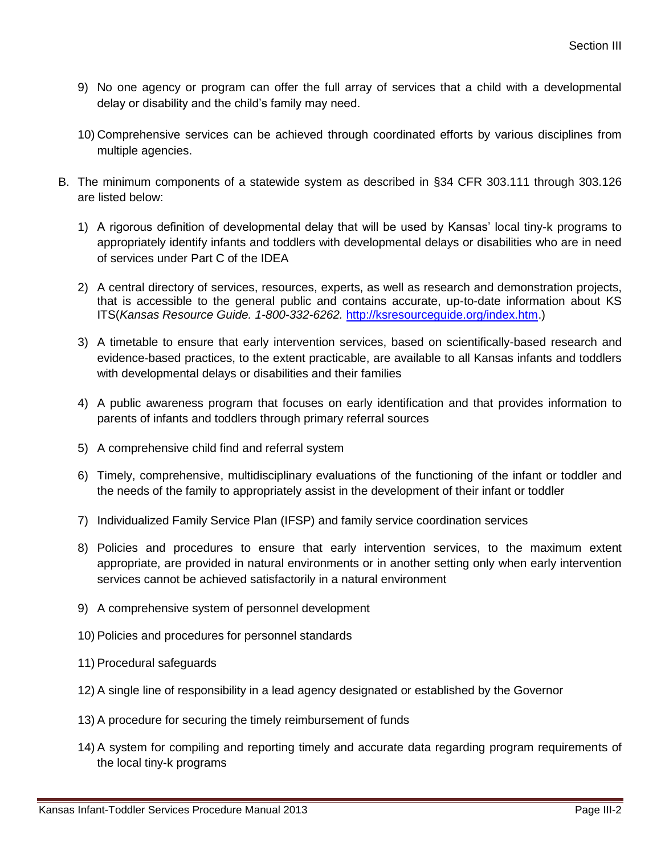- 9) No one agency or program can offer the full array of services that a child with a developmental delay or disability and the child's family may need.
- 10) Comprehensive services can be achieved through coordinated efforts by various disciplines from multiple agencies.
- B. The minimum components of a statewide system as described in §34 CFR 303.111 through 303.126 are listed below:
	- 1) A rigorous definition of developmental delay that will be used by Kansas' local tiny-k programs to appropriately identify infants and toddlers with developmental delays or disabilities who are in need of services under Part C of the IDEA
	- 2) A central directory of services, resources, experts, as well as research and demonstration projects, that is accessible to the general public and contains accurate, up-to-date information about KS ITS(*Kansas Resource Guide. 1-800-332-6262.* [http://ksresourceguide.org/index.htm.](http://ksresourceguide.org/index.htm))
	- 3) A timetable to ensure that early intervention services, based on scientifically-based research and evidence-based practices, to the extent practicable, are available to all Kansas infants and toddlers with developmental delays or disabilities and their families
	- 4) A public awareness program that focuses on early identification and that provides information to parents of infants and toddlers through primary referral sources
	- 5) A comprehensive child find and referral system
	- 6) Timely, comprehensive, multidisciplinary evaluations of the functioning of the infant or toddler and the needs of the family to appropriately assist in the development of their infant or toddler
	- 7) Individualized Family Service Plan (IFSP) and family service coordination services
	- 8) Policies and procedures to ensure that early intervention services, to the maximum extent appropriate, are provided in natural environments or in another setting only when early intervention services cannot be achieved satisfactorily in a natural environment
	- 9) A comprehensive system of personnel development
	- 10) Policies and procedures for personnel standards
	- 11) Procedural safeguards
	- 12) A single line of responsibility in a lead agency designated or established by the Governor
	- 13) A procedure for securing the timely reimbursement of funds
	- 14) A system for compiling and reporting timely and accurate data regarding program requirements of the local tiny-k programs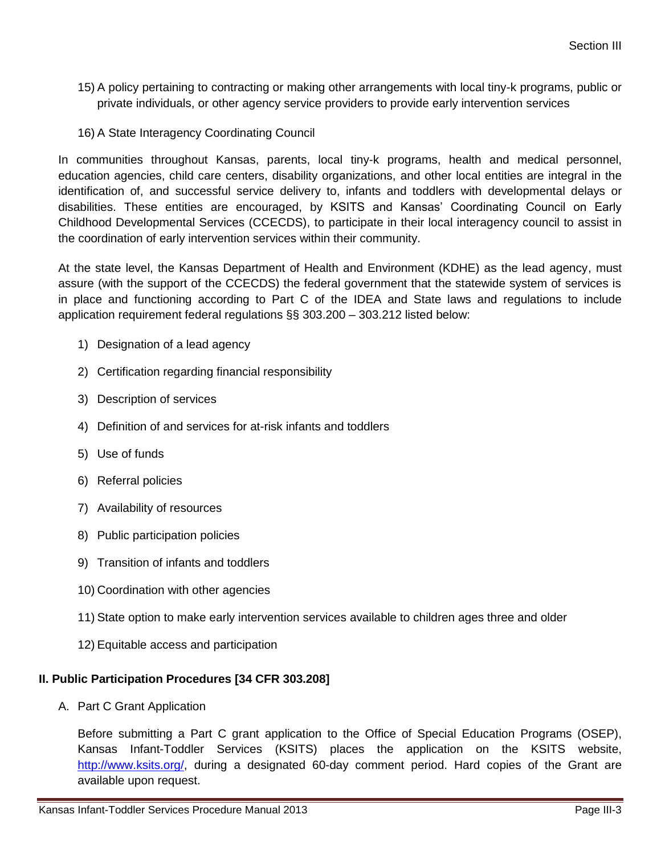- 15) A policy pertaining to contracting or making other arrangements with local tiny-k programs, public or private individuals, or other agency service providers to provide early intervention services
- 16) A State Interagency Coordinating Council

In communities throughout Kansas, parents, local tiny-k programs, health and medical personnel, education agencies, child care centers, disability organizations, and other local entities are integral in the identification of, and successful service delivery to, infants and toddlers with developmental delays or disabilities. These entities are encouraged, by KSITS and Kansas' Coordinating Council on Early Childhood Developmental Services (CCECDS), to participate in their local interagency council to assist in the coordination of early intervention services within their community.

At the state level, the Kansas Department of Health and Environment (KDHE) as the lead agency, must assure (with the support of the CCECDS) the federal government that the statewide system of services is in place and functioning according to Part C of the IDEA and State laws and regulations to include application requirement federal regulations §§ 303.200 – 303.212 listed below:

- 1) Designation of a lead agency
- 2) Certification regarding financial responsibility
- 3) Description of services
- 4) Definition of and services for at-risk infants and toddlers
- 5) Use of funds
- 6) Referral policies
- 7) Availability of resources
- 8) Public participation policies
- 9) Transition of infants and toddlers
- 10) Coordination with other agencies
- 11) State option to make early intervention services available to children ages three and older
- 12) Equitable access and participation

# **II. Public Participation Procedures [34 CFR 303.208]**

A. Part C Grant Application

Before submitting a Part C grant application to the Office of Special Education Programs (OSEP), Kansas Infant-Toddler Services (KSITS) places the application on the KSITS website, [http://www.ksits.org/,](http://www.ksits.org/) during a designated 60-day comment period. Hard copies of the Grant are available upon request.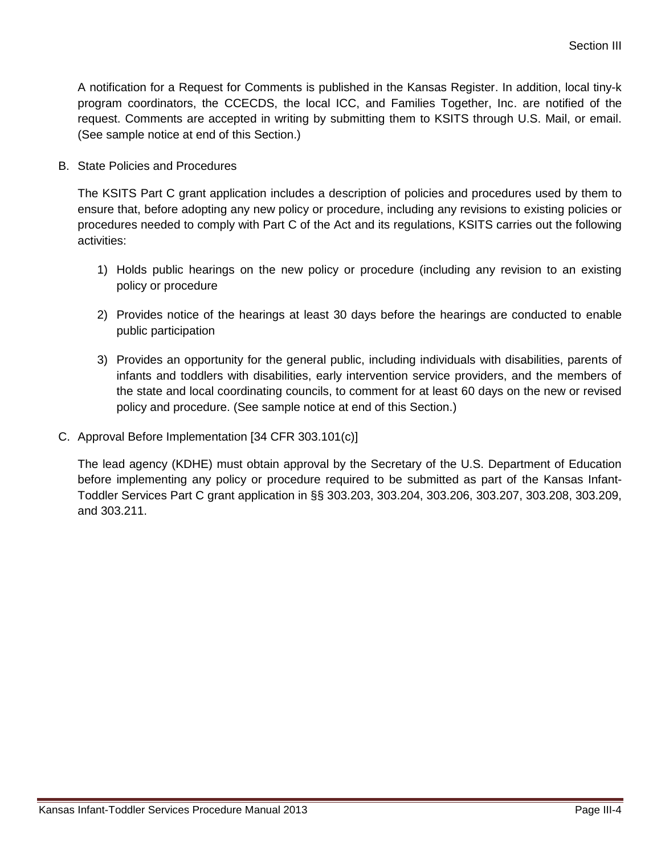A notification for a Request for Comments is published in the Kansas Register. In addition, local tiny-k program coordinators, the CCECDS, the local ICC, and Families Together, Inc. are notified of the request. Comments are accepted in writing by submitting them to KSITS through U.S. Mail, or email. (See sample notice at end of this Section.)

B. State Policies and Procedures

The KSITS Part C grant application includes a description of policies and procedures used by them to ensure that, before adopting any new policy or procedure, including any revisions to existing policies or procedures needed to comply with Part C of the Act and its regulations, KSITS carries out the following activities:

- 1) Holds public hearings on the new policy or procedure (including any revision to an existing policy or procedure
- 2) Provides notice of the hearings at least 30 days before the hearings are conducted to enable public participation
- 3) Provides an opportunity for the general public, including individuals with disabilities, parents of infants and toddlers with disabilities, early intervention service providers, and the members of the state and local coordinating councils, to comment for at least 60 days on the new or revised policy and procedure. (See sample notice at end of this Section.)
- C. Approval Before Implementation [34 CFR 303.101(c)]

The lead agency (KDHE) must obtain approval by the Secretary of the U.S. Department of Education before implementing any policy or procedure required to be submitted as part of the Kansas Infant-Toddler Services Part C grant application in §§ 303.203, 303.204, 303.206, 303.207, 303.208, 303.209, and 303.211.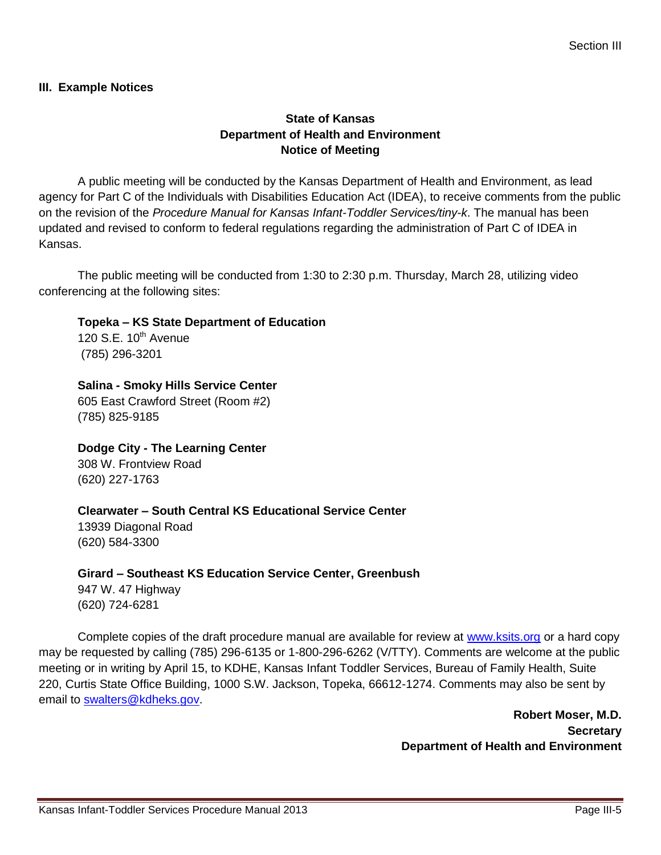#### **III. Example Notices**

## **State of Kansas Department of Health and Environment Notice of Meeting**

A public meeting will be conducted by the Kansas Department of Health and Environment, as lead agency for Part C of the Individuals with Disabilities Education Act (IDEA), to receive comments from the public on the revision of the *Procedure Manual for Kansas Infant-Toddler Services/tiny-k*. The manual has been updated and revised to conform to federal regulations regarding the administration of Part C of IDEA in Kansas.

The public meeting will be conducted from 1:30 to 2:30 p.m. Thursday, March 28, utilizing video conferencing at the following sites:

**Topeka – KS State Department of Education** 

120 S.E.  $10^{th}$  Avenue (785) 296-3201

**Salina - Smoky Hills Service Center** 605 East Crawford Street (Room #2) (785) 825-9185

**Dodge City - The Learning Center** 308 W. Frontview Road (620) 227-1763

**Clearwater – South Central KS Educational Service Center**

13939 Diagonal Road (620) 584-3300

**Girard – Southeast KS Education Service Center, Greenbush** 947 W. 47 Highway (620) 724-6281

Complete copies of the draft procedure manual are available for review at [www.ksits.org](http://www.ksits.org/) or a hard copy may be requested by calling (785) 296-6135 or 1-800-296-6262 (V/TTY). Comments are welcome at the public meeting or in writing by April 15, to KDHE, Kansas Infant Toddler Services, Bureau of Family Health, Suite 220, Curtis State Office Building, 1000 S.W. Jackson, Topeka, 66612-1274. Comments may also be sent by email to [swalters@kdheks.gov.](mailto:swalters@kdheks.gov)

> **Robert Moser, M.D. Secretary Department of Health and Environment**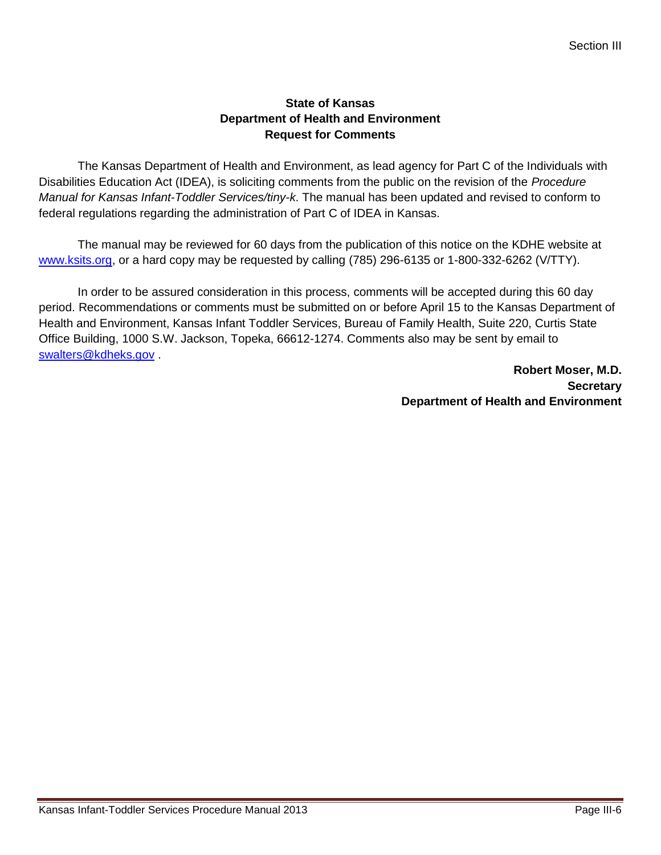### **State of Kansas Department of Health and Environment Request for Comments**

The Kansas Department of Health and Environment, as lead agency for Part C of the Individuals with Disabilities Education Act (IDEA), is soliciting comments from the public on the revision of the *Procedure Manual for Kansas Infant-Toddler Services/tiny-k*. The manual has been updated and revised to conform to federal regulations regarding the administration of Part C of IDEA in Kansas.

The manual may be reviewed for 60 days from the publication of this notice on the KDHE website at [www.ksits.org,](http://www.ksits.org/) or a hard copy may be requested by calling (785) 296-6135 or 1-800-332-6262 (V/TTY).

In order to be assured consideration in this process, comments will be accepted during this 60 day period. Recommendations or comments must be submitted on or before April 15 to the Kansas Department of Health and Environment, Kansas Infant Toddler Services, Bureau of Family Health, Suite 220, Curtis State Office Building, 1000 S.W. Jackson, Topeka, 66612-1274. Comments also may be sent by email to [swalters@kdheks.gov](mailto:swalters@kdheks.gov) .

> **Robert Moser, M.D. Secretary Department of Health and Environment**